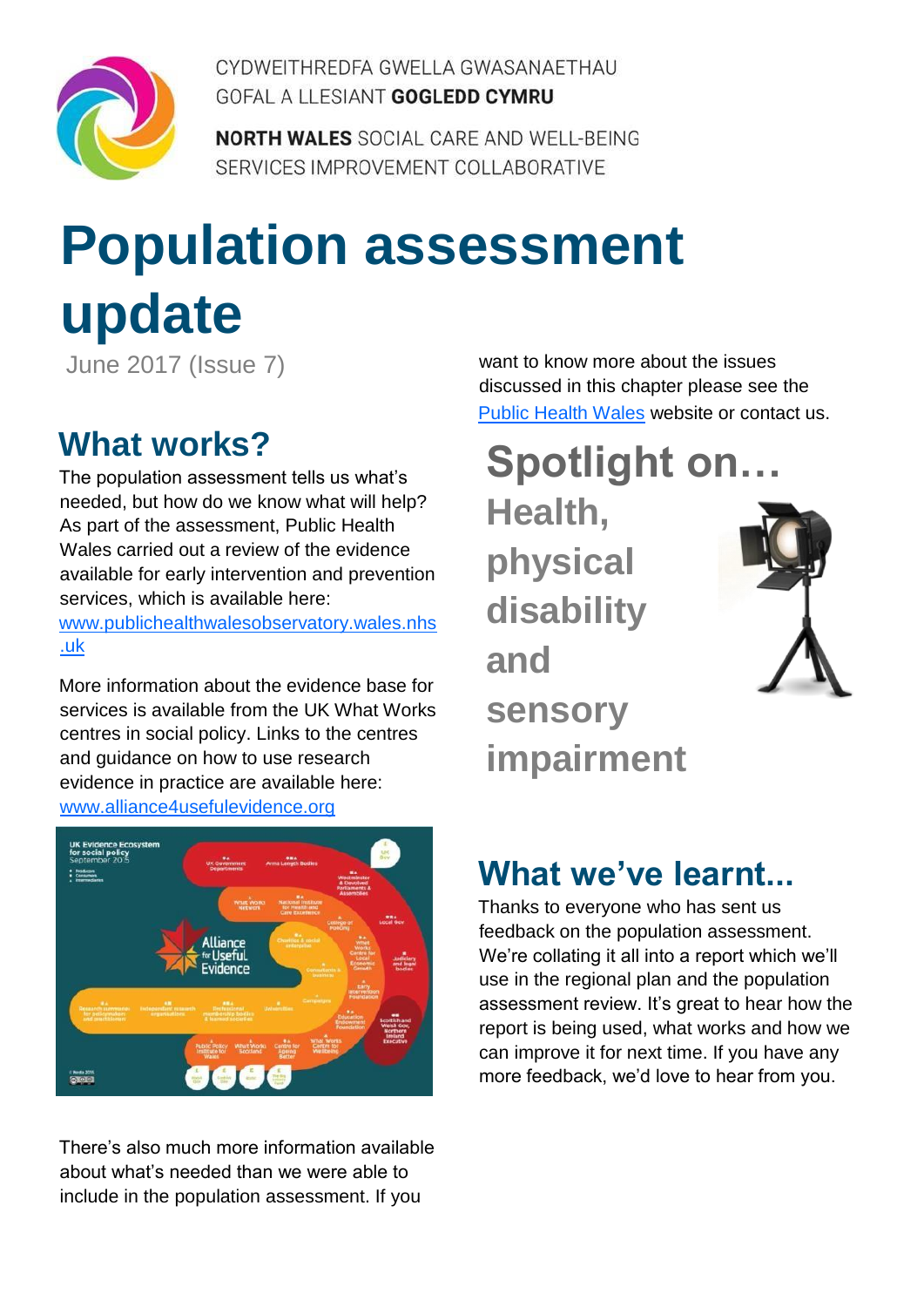

CYDWFITHRFDFA GWFLLA GWASANAFTHAU GOFAL A LLESIANT GOGLEDD CYMRU

**NORTH WALES SOCIAL CARE AND WELL-BEING** SERVICES IMPROVEMENT COLLABORATIVE

# **Population assessment update**

June 2017 (Issue 7)

### **What works?**

The population assessment tells us what's needed, but how do we know what will help? As part of the assessment, Public Health Wales carried out a review of the evidence available for early intervention and prevention services, which is available here: [www.publichealthwalesobservatory.wales.nhs](http://www.publichealthwalesobservatory.wales.nhs.uk/topic-specific-evidence-summaries-1)  [.uk](http://www.publichealthwalesobservatory.wales.nhs.uk/topic-specific-evidence-summaries-1)

More information about the evidence base for services is available from the UK What Works centres in social policy. Links to the centres and guidance on how to use research evidence in practice are available here: [www.alliance4usefulevidence.org](http://www.alliance4usefulevidence.org/publication/using-research-evidence-a-practice-guide-january-2016/)



There's also much more information available about what's needed than we were able to include in the population assessment. If you

want to know more about the issues discussed in this chapter please see the [Public Health Wales](http://www.publichealthwales.wales.nhs.uk/) website or contact us.

# **Spotlight on…**

**Health, physical disability and sensory impairment**



### **What we've learnt...**

Thanks to everyone who has sent us feedback on the population assessment. We're collating it all into a report which we'll use in the regional plan and the population assessment review. It's great to hear how the report is being used, what works and how we can improve it for next time. If you have any more feedback, we'd love to hear from you.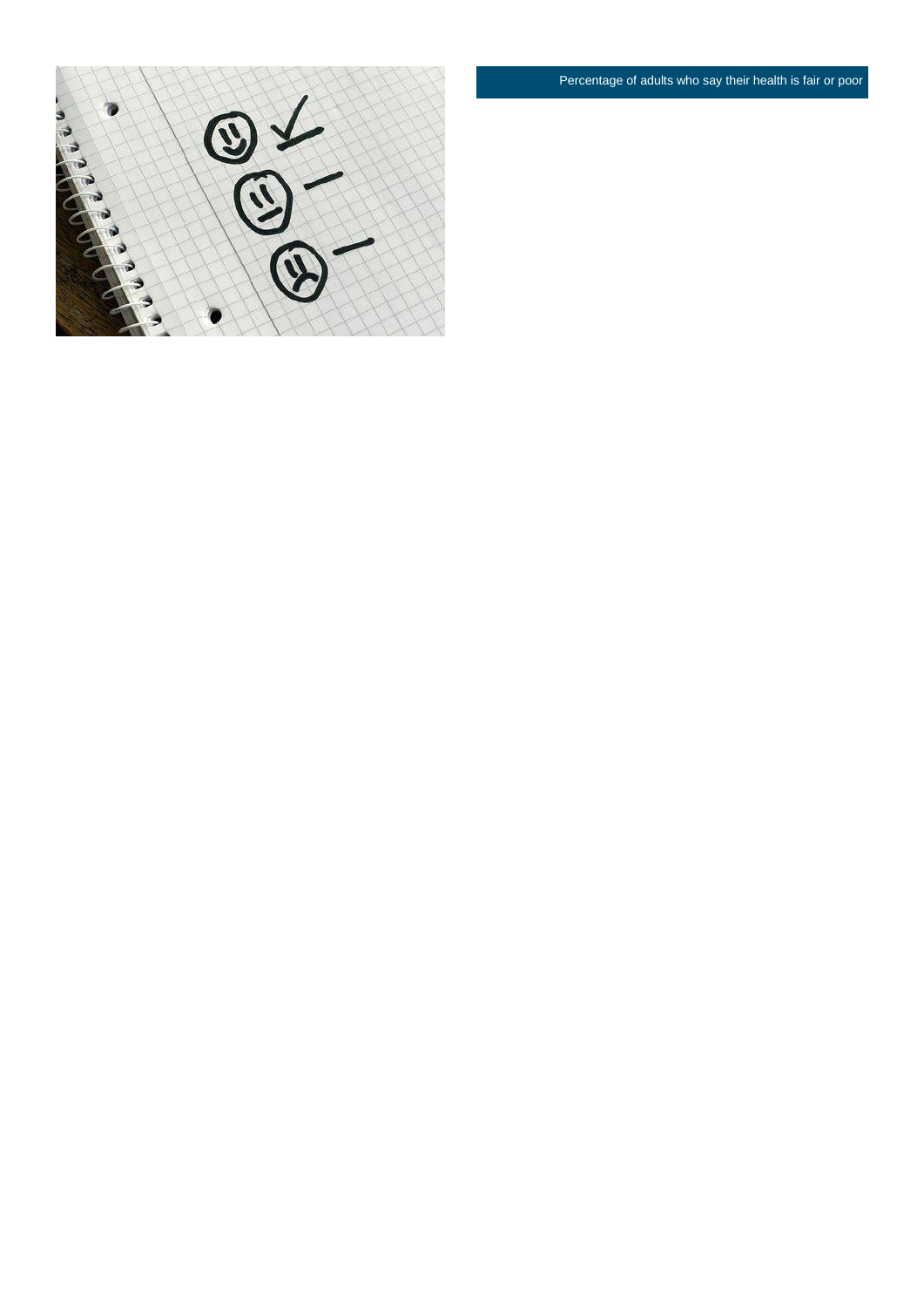Percentage of adults who say their health is fair or poor

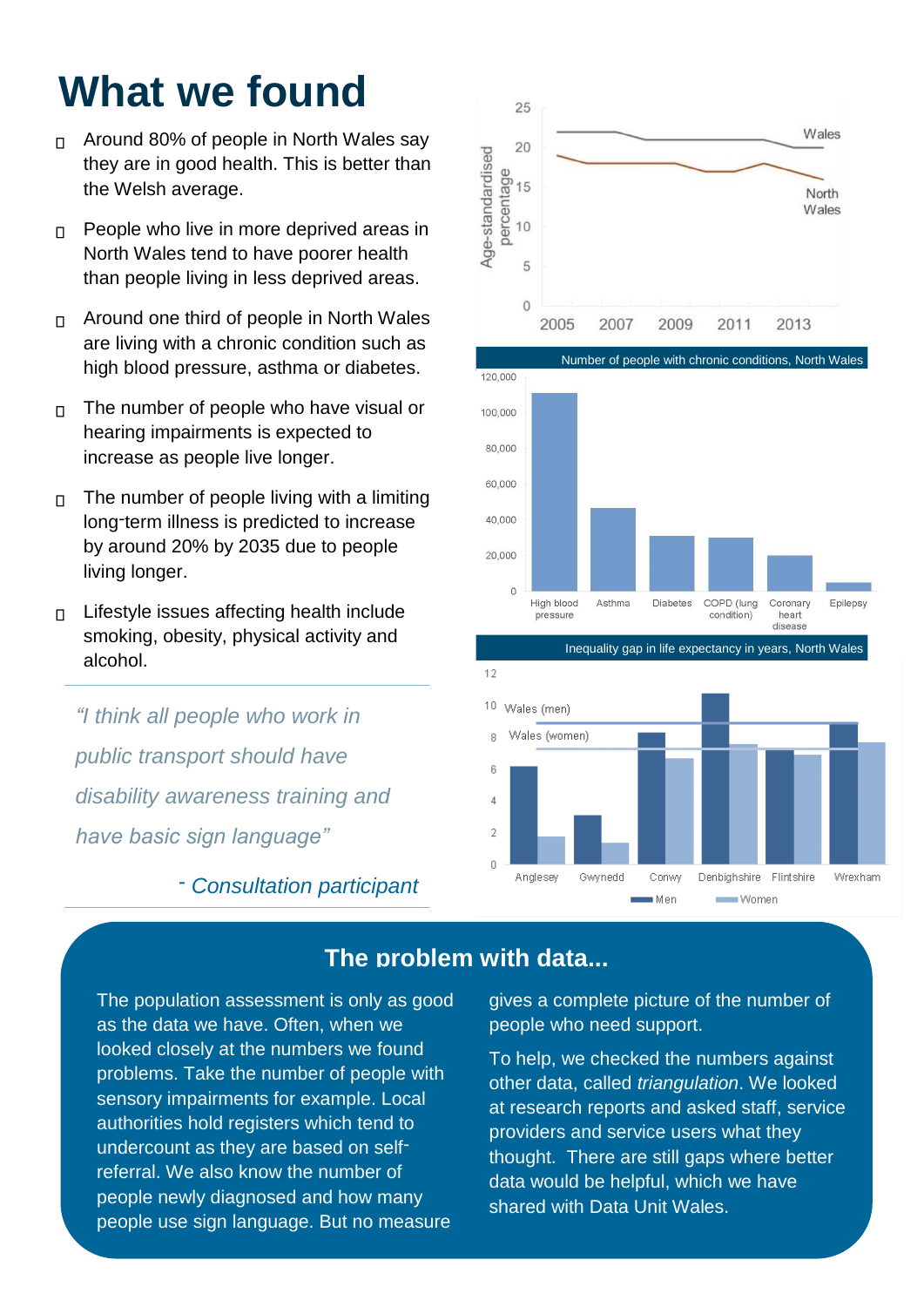## **What we found**

- Around 80% of people in North Wales say  $\Box$ they are in good health. This is better than the Welsh average.
- People who live in more deprived areas in  $\overline{\Pi}$ North Wales tend to have poorer health than people living in less deprived areas.
- Around one third of people in North Wales  $\Box$ are living with a chronic condition such as high blood pressure, asthma or diabetes.
- The number of people who have visual or  $\Box$ hearing impairments is expected to increase as people live longer.
- The number of people living with a limiting  $\Box$ long-term illness is predicted to increase by around 20% by 2035 due to people living longer.
- Lifestyle issues affecting health include  $\Box$ smoking, obesity, physical activity and alcohol.

*"I think all people who work in public transport should have disability awareness training and have basic sign language"*

*- Consultation participant*







gives a complete picture of the number of people who need support.

Conwy

**Men** 

Denbighshire Flintshire

Women

Wrexham

To help, we checked the numbers against other data, called *triangulation*. We looked at research reports and asked staff, service providers and service users what they thought. There are still gaps where better data would be helpful, which we have shared with Data Unit Wales.

### **The problem with data...**

2  $\overline{0}$ 

Anglesey

Gwynedd

The population assessment is only as good as the data we have. Often, when we looked closely at the numbers we found problems. Take the number of people with sensory impairments for example. Local authorities hold registers which tend to undercount as they are based on selfreferral. We also know the number of people newly diagnosed and how many people use sign language. But no measure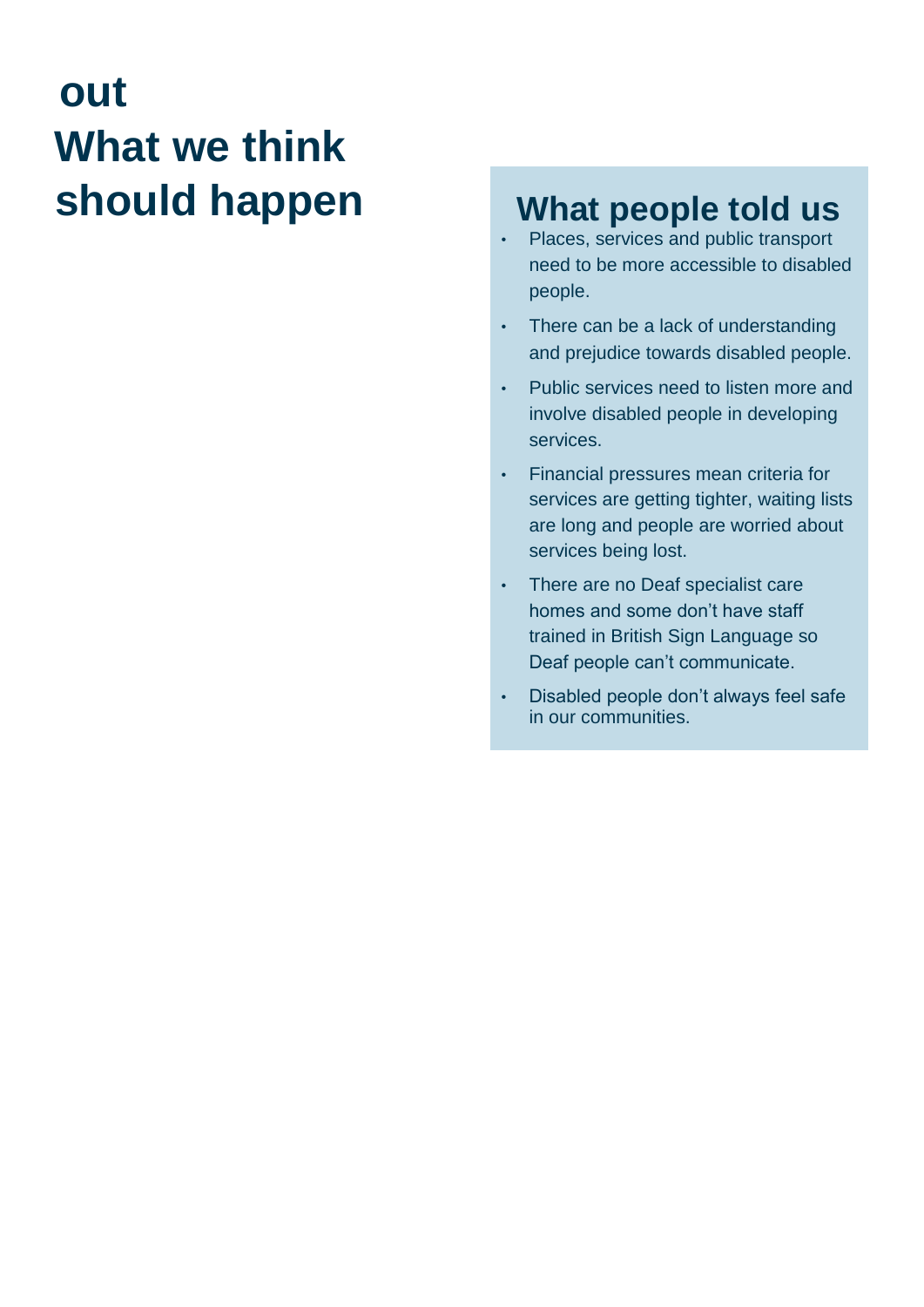## **out What we think should happen What people told us**

- Places, services and public transport need to be more accessible to disabled people.
- There can be a lack of understanding and prejudice towards disabled people.
- Public services need to listen more and involve disabled people in developing services.
- Financial pressures mean criteria for services are getting tighter, waiting lists are long and people are worried about services being lost.
- There are no Deaf specialist care homes and some don't have staff trained in British Sign Language so Deaf people can't communicate.
- Disabled people don't always feel safe in our communities.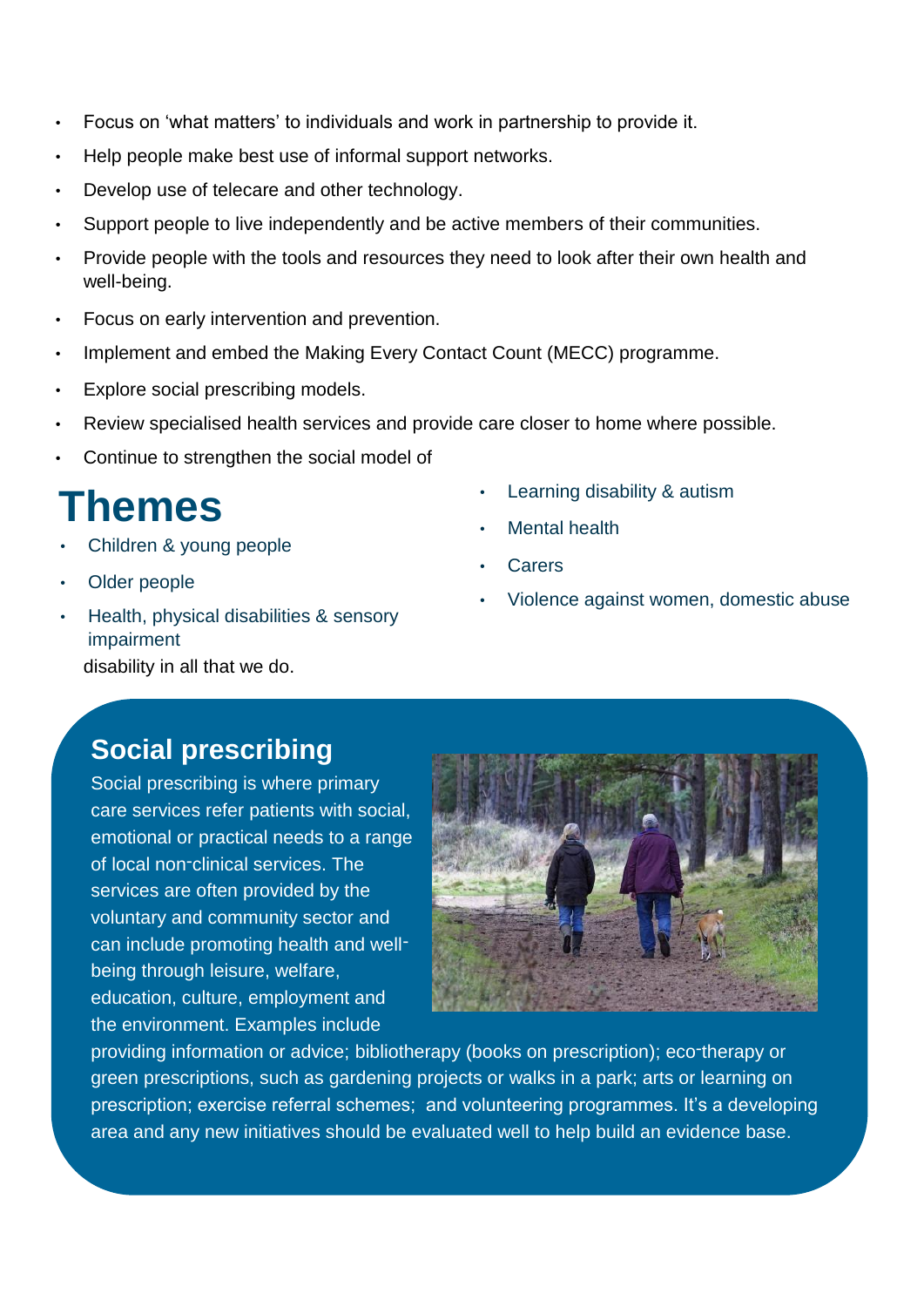- Focus on 'what matters' to individuals and work in partnership to provide it.
- Help people make best use of informal support networks.
- Develop use of telecare and other technology.
- Support people to live independently and be active members of their communities.
- Provide people with the tools and resources they need to look after their own health and well-being.
- Focus on early intervention and prevention.
- Implement and embed the Making Every Contact Count (MECC) programme.
- Explore social prescribing models.
- Review specialised health services and provide care closer to home where possible.
- Continue to strengthen the social model of

### **Themes**

- Children & young people
- Older people
- Health, physical disabilities & sensory impairment disability in all that we do.
- Learning disability & autism
- Mental health
- **Carers**
- Violence against women, domestic abuse

### **Social prescribing**

Social prescribing is where primary care services refer patients with social, emotional or practical needs to a range of local non-clinical services. The services are often provided by the voluntary and community sector and can include promoting health and wellbeing through leisure, welfare, education, culture, employment and the environment. Examples include



providing information or advice; [bibliotherapy \(books on prescription\); e](http://www.nhsdirect.wales.nhs.uk/lifestylewellbeing/bookprescriptionwales)co-therapy or green prescriptions, such as gardening projects or walks in a park; arts or learning on prescription; exercise referral schemes; and volunteering programmes. It's a developing area and any new initiatives should be evaluated well to help build an evidence base.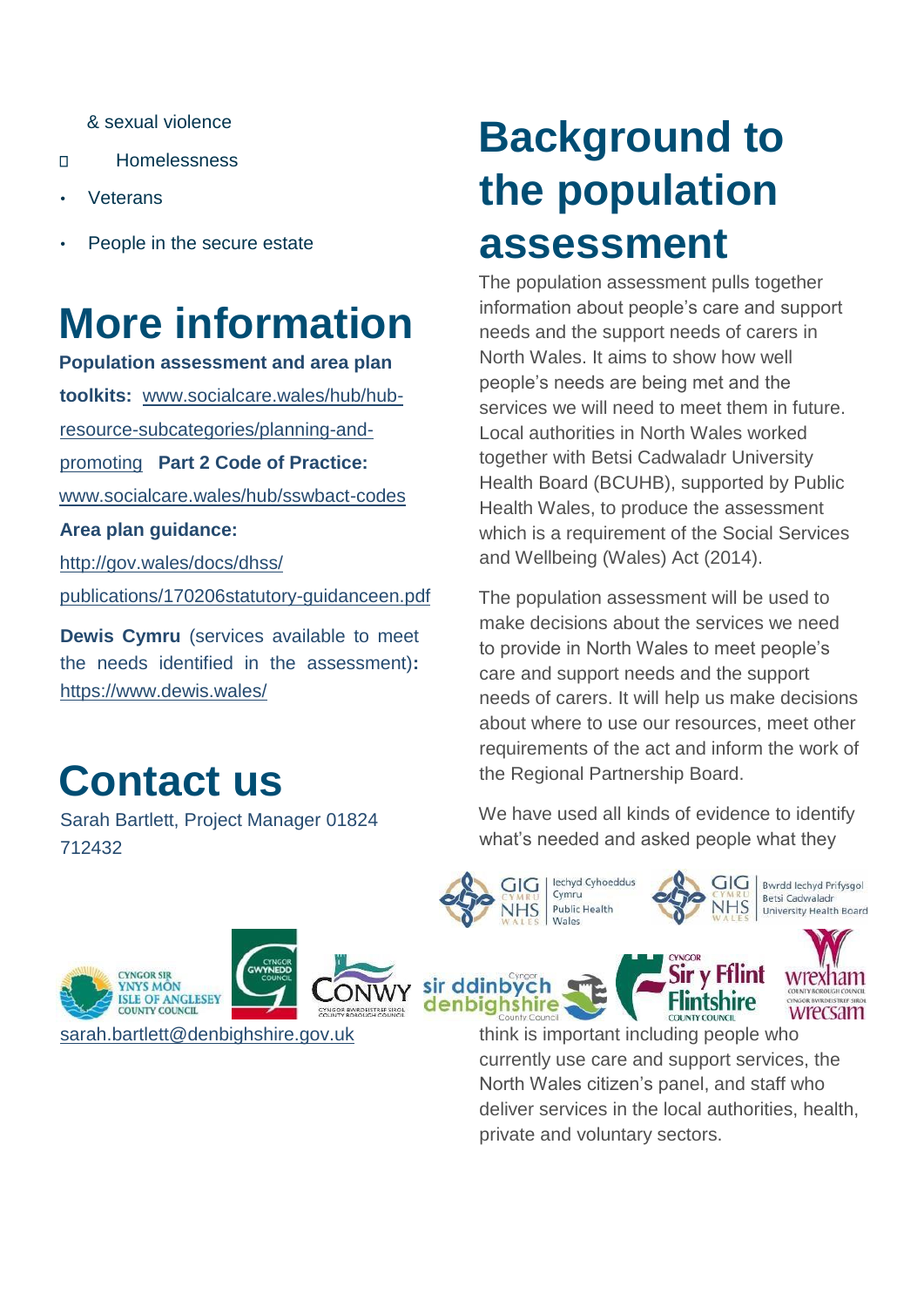& sexual violence

- Homelessness  $\Box$
- **Veterans**
- People in the secure estate

### **More information**

**Population assessment and area plan toolkits:** [www.socialcare.wales/hub/hub](https://socialcare.wales/hub/hub-resource-sub-categories/planning-and-promoting)[resource-subcategories/planning-and-](https://socialcare.wales/hub/hub-resource-sub-categories/planning-and-promoting)

[promoting](https://socialcare.wales/hub/hub-resource-sub-categories/planning-and-promoting) **Part 2 Code of Practice:** 

[www.socialcare.wales/hub/sswbact-codes](http://www.socialcare.wales/hub/sswbact-codes)

**Area plan guidance:** 

http://gov.wales/docs/dhss/

publications/170206statutory-guidanceen.pdf

**Dewis Cymru** (services available to meet the needs identified in the assessment)**:**  <https://www.dewis.wales/>

### **Contact us**

Sarah Bartlett, Project Manager 01824 712432

## **Background to the population assessment**

The population assessment pulls together information about people's care and support needs and the support needs of carers in North Wales. It aims to show how well people's needs are being met and the services we will need to meet them in future. Local authorities in North Wales worked together with Betsi Cadwaladr University Health Board (BCUHB), supported by Public Health Wales, to produce the assessment which is a requirement of the Social Services and Wellbeing (Wales) Act (2014).

The population assessment will be used to make decisions about the services we need to provide in North Wales to meet people's care and support needs and the support needs of carers. It will help us make decisions about where to use our resources, meet other requirements of the act and inform the work of the Regional Partnership Board.

We have used all kinds of evidence to identify what's needed and asked people what they

GIG

**Flintshire** 

Bwrdd Iechyd Prifysgol

University Health Board

Betsi Cadwaladr

lechyd Cyhoeddus

**Public Health** 

Cymru

**Males** 

GIG



wrecsam think is important including people who currently use care and support services, the North Wales citizen's panel, and staff who deliver services in the local authorities, health, private and voluntary sectors.